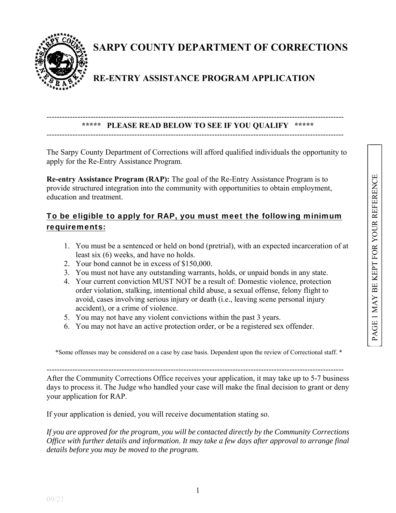

**SARPY COUNTY DEPARTMENT OF CORRECTIONS**

## **RE-ENTRY ASSISTANCE PROGRAM APPLICATION**

#### ------------------------------------------------------------------------------------------------------------------- **\*\*\*\*\* PLEASE READ BELOW TO SEE IF YOU QUALIFY \*\*\*\*\***  -------------------------------------------------------------------------------------------------------------------

The Sarpy County Department of Corrections will afford qualified individuals the opportunity to apply for the Re-Entry Assistance Program.

**Re-entry Assistance Program (RAP):** The goal of the Re-Entry Assistance Program is to provide structured integration into the community with opportunities to obtain employment, education and treatment.

### To be eligible to apply for RAP, you must meet the following minimum requirements:

- 1. You must be a sentenced or held on bond (pretrial), with an expected incarceration of at least six (6) weeks, and have no holds.
- 2. Your bond cannot be in excess of \$150,000.
- 3. You must not have any outstanding warrants, holds, or unpaid bonds in any state.
- 4. Your current conviction MUST NOT be a result of: Domestic violence, protection order violation, stalking, intentional child abuse, a sexual offense, felony flight to avoid, cases involving serious injury or death (i.e., leaving scene personal injury accident), or a crime of violence.
- 5. You may not have any violent convictions within the past 3 years.
- 6. You may not have an active protection order, or be a registered sex offender.

\*Some offenses may be considered on a case by case basis. Dependent upon the review of Correctional staff. \*

-------------------------------------------------------------------------------------------------------------------

After the Community Corrections Office receives your application, it may take up to 5-7 business days to process it. The Judge who handled your case will make the final decision to grant or deny your application for RAP.

If your application is denied, you will receive documentation stating so.

*If you are approved for the program, you will be contacted directly by the Community Corrections Office with further details and information. It may take a few days after approval to arrange final details before you may be moved to the program.*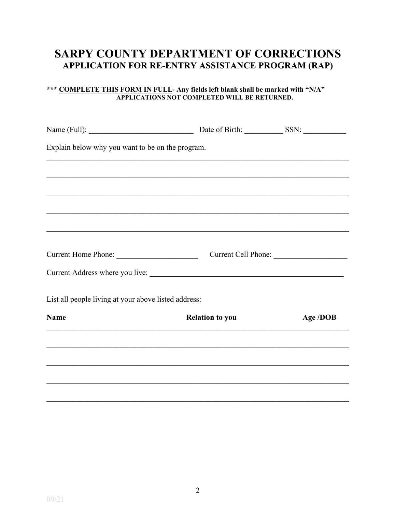# **SARPY COUNTY DEPARTMENT OF CORRECTIONS** APPLICATION FOR RE-ENTRY ASSISTANCE PROGRAM (RAP)

# \*\*\* COMPLETE THIS FORM IN FULL- Any fields left blank shall be marked with "N/A"<br>APPLICATIONS NOT COMPLETED WILL BE RETURNED.

|                                                                                                 | Date of Birth: SSN:    |                     |
|-------------------------------------------------------------------------------------------------|------------------------|---------------------|
| Explain below why you want to be on the program.                                                |                        |                     |
|                                                                                                 |                        |                     |
|                                                                                                 |                        |                     |
|                                                                                                 |                        |                     |
| ,我们也不会有什么。""我们的人,我们也不会有什么?""我们的人,我们也不会有什么?""我们的人,我们也不会有什么?""我们的人,我们也不会有什么?""我们的人                |                        |                     |
|                                                                                                 |                        | Current Cell Phone: |
|                                                                                                 |                        |                     |
| List all people living at your above listed address:                                            |                        |                     |
| <b>Name</b><br>,我们也不会有什么。""我们的人,我们也不会有什么?""我们的人,我们也不会有什么?""我们的人,我们也不会有什么?""我们的人,我们也不会有什么?""我们的人 | <b>Relation to you</b> | Age /DOB            |
|                                                                                                 |                        |                     |
|                                                                                                 |                        |                     |
|                                                                                                 |                        |                     |
|                                                                                                 |                        |                     |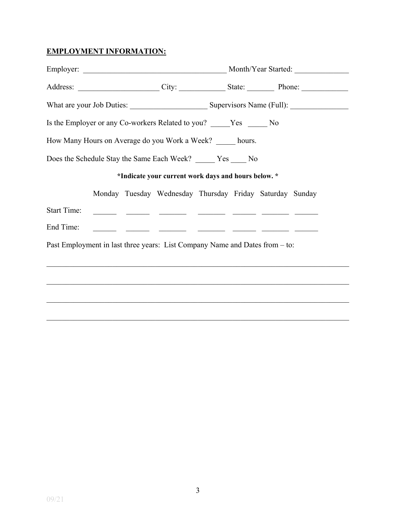#### **EMPLOYMENT INFORMATION:**

|                    |  | Is the Employer or any Co-workers Related to you? _____Yes ______No                                                   |  |  |  |
|--------------------|--|-----------------------------------------------------------------------------------------------------------------------|--|--|--|
|                    |  | How Many Hours on Average do you Work a Week? _____ hours.                                                            |  |  |  |
|                    |  | Does the Schedule Stay the Same Each Week? _____ Yes ____ No                                                          |  |  |  |
|                    |  | *Indicate your current work days and hours below. *                                                                   |  |  |  |
|                    |  | Monday Tuesday Wednesday Thursday Friday Saturday Sunday                                                              |  |  |  |
| <b>Start Time:</b> |  | <u> 1999 - John Schweizer, schweizer am der Schweizer (dagen der Schweizer am der Schweizer am der Schweizer am d</u> |  |  |  |
| End Time:          |  | <u> 1999 - John Harrison (h. 1989), president politik (h. 1989)</u>                                                   |  |  |  |
|                    |  | Past Employment in last three years: List Company Name and Dates from – to:                                           |  |  |  |
|                    |  |                                                                                                                       |  |  |  |
|                    |  |                                                                                                                       |  |  |  |
|                    |  |                                                                                                                       |  |  |  |
|                    |  |                                                                                                                       |  |  |  |

 $\mathcal{L}_\mathcal{L} = \mathcal{L}_\mathcal{L} = \mathcal{L}_\mathcal{L} = \mathcal{L}_\mathcal{L} = \mathcal{L}_\mathcal{L} = \mathcal{L}_\mathcal{L} = \mathcal{L}_\mathcal{L} = \mathcal{L}_\mathcal{L} = \mathcal{L}_\mathcal{L} = \mathcal{L}_\mathcal{L} = \mathcal{L}_\mathcal{L} = \mathcal{L}_\mathcal{L} = \mathcal{L}_\mathcal{L} = \mathcal{L}_\mathcal{L} = \mathcal{L}_\mathcal{L} = \mathcal{L}_\mathcal{L} = \mathcal{L}_\mathcal{L}$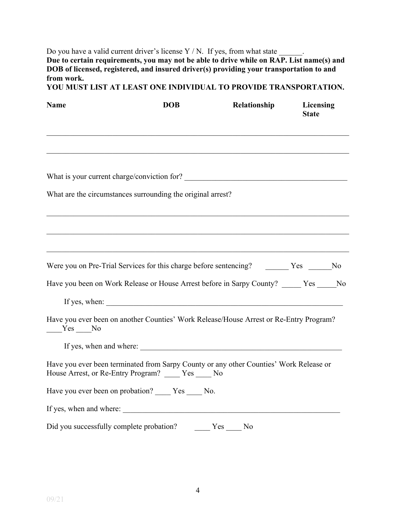Do you have a valid current driver's license  $Y/N$ . If yes, from what state  $\qquad \qquad$ . **Due to certain requirements, you may not be able to drive while on RAP. List name(s) and DOB** of licensed, registered, and insured driver(s) providing your transportation to and **from work.** 

**YOU MUST LIST AT LEAST ONE INDIVIDUAL TO PROVIDE TRANSPORTATION.** 

| <b>Name</b> | <b>DOB</b>                                                                                                                                     | Relationship | Licensing<br><b>State</b> |
|-------------|------------------------------------------------------------------------------------------------------------------------------------------------|--------------|---------------------------|
|             |                                                                                                                                                |              |                           |
|             |                                                                                                                                                |              |                           |
|             | What are the circumstances surrounding the original arrest?                                                                                    |              |                           |
|             |                                                                                                                                                |              |                           |
|             | Were you on Pre-Trial Services for this charge before sentencing? The Triangler Mo                                                             |              |                           |
|             | Have you been on Work Release or House Arrest before in Sarpy County? _____ Yes _____ No                                                       |              |                           |
|             | If yes, when:                                                                                                                                  |              |                           |
| $Yes$ No    | Have you ever been on another Counties' Work Release/House Arrest or Re-Entry Program?                                                         |              |                           |
|             | If yes, when and where:                                                                                                                        |              |                           |
|             | Have you ever been terminated from Sarpy County or any other Counties' Work Release or<br>House Arrest, or Re-Entry Program? _____ Yes ____ No |              |                           |
|             | Have you ever been on probation? Yes No.                                                                                                       |              |                           |
|             |                                                                                                                                                |              |                           |
|             |                                                                                                                                                |              |                           |